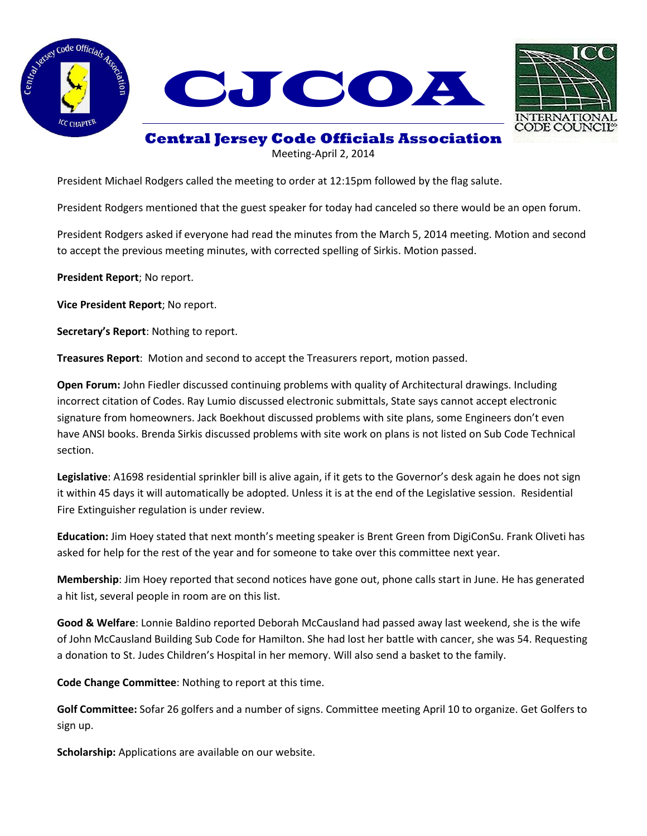





**Central Jersey Code Officials Association**

Meeting-April 2, 2014

President Michael Rodgers called the meeting to order at 12:15pm followed by the flag salute.

President Rodgers mentioned that the guest speaker for today had canceled so there would be an open forum.

President Rodgers asked if everyone had read the minutes from the March 5, 2014 meeting. Motion and second to accept the previous meeting minutes, with corrected spelling of Sirkis. Motion passed.

**President Report**; No report.

**Vice President Report**; No report.

**Secretary's Report**: Nothing to report.

**Treasures Report**: Motion and second to accept the Treasurers report, motion passed.

**Open Forum:** John Fiedler discussed continuing problems with quality of Architectural drawings. Including incorrect citation of Codes. Ray Lumio discussed electronic submittals, State says cannot accept electronic signature from homeowners. Jack Boekhout discussed problems with site plans, some Engineers don't even have ANSI books. Brenda Sirkis discussed problems with site work on plans is not listed on Sub Code Technical section.

**Legislative**: A1698 residential sprinkler bill is alive again, if it gets to the Governor's desk again he does not sign it within 45 days it will automatically be adopted. Unless it is at the end of the Legislative session. Residential Fire Extinguisher regulation is under review.

**Education:** Jim Hoey stated that next month's meeting speaker is Brent Green from DigiConSu. Frank Oliveti has asked for help for the rest of the year and for someone to take over this committee next year.

**Membership**: Jim Hoey reported that second notices have gone out, phone calls start in June. He has generated a hit list, several people in room are on this list.

**Good & Welfare**: Lonnie Baldino reported Deborah McCausland had passed away last weekend, she is the wife of John McCausland Building Sub Code for Hamilton. She had lost her battle with cancer, she was 54. Requesting a donation to St. Judes Children's Hospital in her memory. Will also send a basket to the family.

**Code Change Committee**: Nothing to report at this time.

**Golf Committee:** Sofar 26 golfers and a number of signs. Committee meeting April 10 to organize. Get Golfers to sign up.

**Scholarship:** Applications are available on our website.